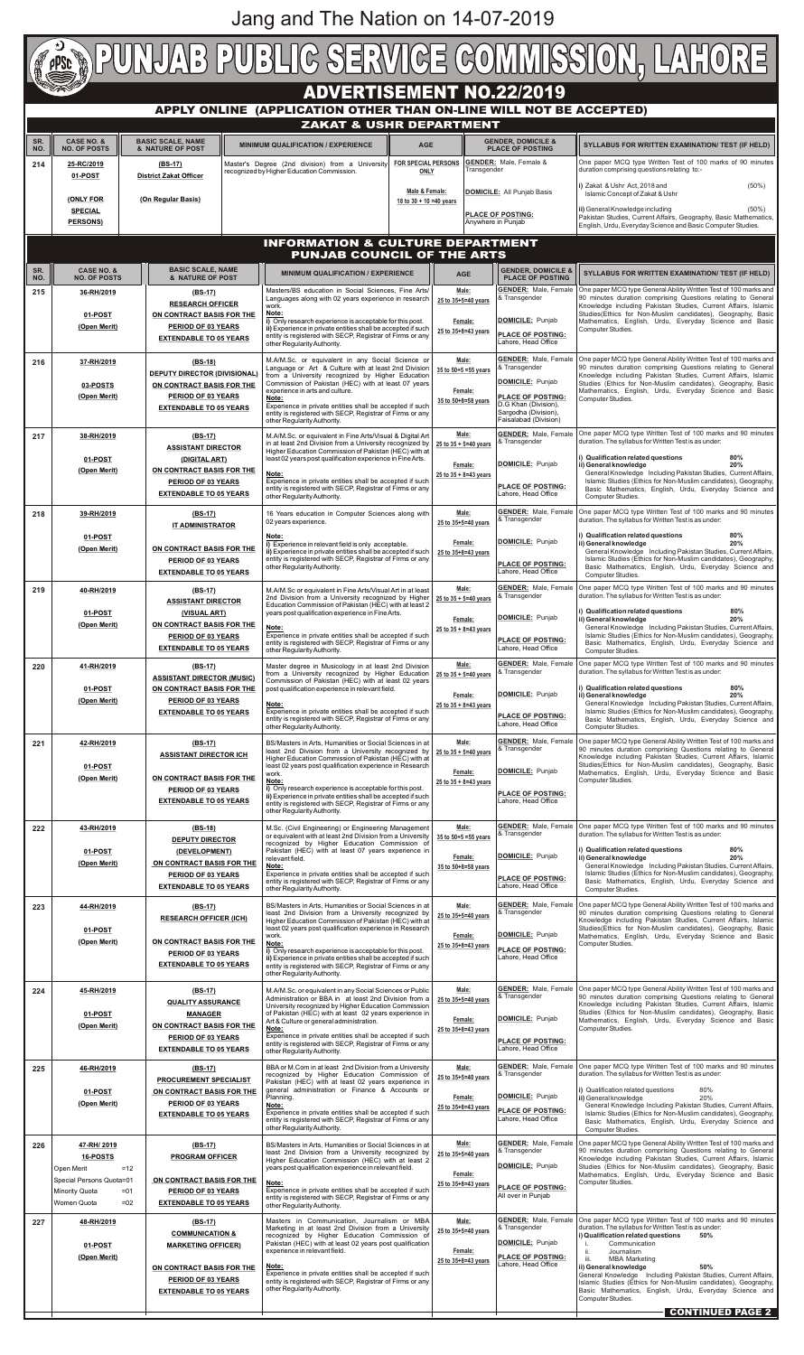| <b>PUNJAB PUBLIC SERVICE COMMISSION, LAHORE</b>                                                       |                                                      |                                                                                                                                                                                      |  |                                                                                                                                                                                                                                              |                                                                                                                   |                                                                                                          |         |                                                                          |                                                                                                                                                                                                                                                                                                                                                      |  |  |  |
|-------------------------------------------------------------------------------------------------------|------------------------------------------------------|--------------------------------------------------------------------------------------------------------------------------------------------------------------------------------------|--|----------------------------------------------------------------------------------------------------------------------------------------------------------------------------------------------------------------------------------------------|-------------------------------------------------------------------------------------------------------------------|----------------------------------------------------------------------------------------------------------|---------|--------------------------------------------------------------------------|------------------------------------------------------------------------------------------------------------------------------------------------------------------------------------------------------------------------------------------------------------------------------------------------------------------------------------------------------|--|--|--|
| <b>ADVERTISEMENT NO.22/2019</b><br>APPLY ONLINE (APPLICATION OTHER THAN ON-LINE WILL NOT BE ACCEPTED) |                                                      |                                                                                                                                                                                      |  |                                                                                                                                                                                                                                              |                                                                                                                   |                                                                                                          |         |                                                                          |                                                                                                                                                                                                                                                                                                                                                      |  |  |  |
|                                                                                                       |                                                      |                                                                                                                                                                                      |  | <b>ZAKAT &amp; USHR DEPARTMENT</b>                                                                                                                                                                                                           |                                                                                                                   |                                                                                                          |         |                                                                          |                                                                                                                                                                                                                                                                                                                                                      |  |  |  |
| SR.<br>NO.                                                                                            | <b>CASE NO. &amp;</b><br><b>NO. OF POSTS</b>         | <b>BASIC SCALE, NAME</b><br>& NATURE OF POST                                                                                                                                         |  | <b>MINIMUM QUALIFICATION / EXPERIENCE</b>                                                                                                                                                                                                    | <b>AGE</b>                                                                                                        |                                                                                                          |         | <b>GENDER, DOMICILE &amp;</b><br><b>PLACE OF POSTING</b>                 | SYLLABUS FOR WRITTEN EXAMINATION/ TEST (IF HELD)                                                                                                                                                                                                                                                                                                     |  |  |  |
| 214                                                                                                   | 01-POST                                              | 25-RC/2019<br>$(BS-17)$<br><b>District Zakat Officer</b><br>(ONLY FOR<br>(On Regular Basis)                                                                                          |  | Master's Degree (2nd division) from a University<br>recognized by Higher Education Commission.                                                                                                                                               |                                                                                                                   | <b>FOR SPECIAL PERSONS</b><br>Transgender<br><b>ONLY</b><br>Male & Female:<br>18 to $30 + 10 = 40$ years |         | <b>GENDER:</b> Male, Female &                                            | One paper MCQ type Written Test of 100 marks of 90 minutes<br>duration comprising questions relating to:-                                                                                                                                                                                                                                            |  |  |  |
|                                                                                                       |                                                      |                                                                                                                                                                                      |  |                                                                                                                                                                                                                                              |                                                                                                                   |                                                                                                          |         | DOMICILE: All Punjab Basis                                               | i) Zakat & Ushr Act, 2018 and<br>$(50\%)$<br>Islamic Concept of Zakat & Ushr                                                                                                                                                                                                                                                                         |  |  |  |
|                                                                                                       | <b>SPECIAL</b><br><b>PERSONS)</b>                    |                                                                                                                                                                                      |  |                                                                                                                                                                                                                                              |                                                                                                                   |                                                                                                          |         | PLACE OF POSTING:<br>Anywhere in Punjab                                  | ii) General Knowledge including<br>$(50\%)$<br>Pakistan Studies, Current Affairs, Geography, Basic Mathematics,<br>English, Urdu, Everyday Science and Basic Computer Studies.                                                                                                                                                                       |  |  |  |
|                                                                                                       |                                                      |                                                                                                                                                                                      |  | <b>INFORMATION &amp; CULTURE DEPARTMENT</b>                                                                                                                                                                                                  |                                                                                                                   |                                                                                                          |         |                                                                          |                                                                                                                                                                                                                                                                                                                                                      |  |  |  |
| SR.                                                                                                   | <b>CASE NO. &amp;</b>                                | <b>BASIC SCALE, NAME</b>                                                                                                                                                             |  | <b>PUNJAB COUNCIL OF THE ARTS</b>                                                                                                                                                                                                            |                                                                                                                   |                                                                                                          |         | <b>GENDER, DOMICILE 8</b>                                                |                                                                                                                                                                                                                                                                                                                                                      |  |  |  |
| NO.<br>215                                                                                            | <b>NO. OF POSTS</b><br>36-RH/2019                    | & NATURE OF POST<br>$(BS-17)$                                                                                                                                                        |  | <b>MINIMUM QUALIFICATION / EXPERIENCE</b><br>Masters/BS education in Social Sciences, Fine Arts/                                                                                                                                             |                                                                                                                   | <b>AGE</b><br>Male:                                                                                      |         | <b>PLACE OF POSTING</b><br><b>GENDER:</b> Male, Female                   | SYLLABUS FOR WRITTEN EXAMINATION/ TEST (IF HELD)<br>One paper MCQ type General Ability Written Test of 100 marks and                                                                                                                                                                                                                                 |  |  |  |
|                                                                                                       | 01-POST                                              | <b>RESEARCH OFFICER</b><br>ON CONTRACT BASIS FOR THE                                                                                                                                 |  | Languages along with 02 years experience in research<br>work.<br>Note:                                                                                                                                                                       |                                                                                                                   | 25 to 35+5=40 years                                                                                      |         | & Transgender                                                            | 90 minutes duration comprising Questions relating to General<br>Knowledge including Pakistan Studies, Current Affairs, Islamic<br>Studies(Ethics for Non-Muslim candidates), Geography, Basic                                                                                                                                                        |  |  |  |
|                                                                                                       | (Open Merit)                                         | PERIOD OF 03 YEARS<br><b>EXTENDABLE TO 05 YEARS</b>                                                                                                                                  |  | i) Only research experience is acceptable for this post.<br>ii) Experience in private entities shall be accepted if such<br>entity is registered with SECP, Registrar of Firms or any                                                        |                                                                                                                   | Female:<br>25 to 35+8=43 years                                                                           |         | DOMICILE: Punjab<br>PLACE OF POSTING:<br>Lahore, Head Office             | Mathematics, English, Urdu, Everyday Science and Basic<br>Computer Studies.                                                                                                                                                                                                                                                                          |  |  |  |
| 216                                                                                                   | 37-RH/2019                                           | $(BS-18)$                                                                                                                                                                            |  | other Regularity Authority.<br>M.A/M.Sc. or equivalent in any Social Science or                                                                                                                                                              |                                                                                                                   | Male:                                                                                                    |         | <b>GENDER:</b> Male, Female                                              | One paper MCQ type General Ability Written Test of 100 marks and                                                                                                                                                                                                                                                                                     |  |  |  |
|                                                                                                       | 03-POSTS                                             | <b>DEPUTY DIRECTOR (DIVISIONAL)</b><br>ON CONTRACT BASIS FOR THE                                                                                                                     |  | Language or Art & Culture with at least 2nd Division<br>from a University recognized by Higher Education<br>Commission of Pakistan (HEC) with at least 07 years                                                                              |                                                                                                                   | 35 to 50+5 = 55 years                                                                                    |         | & Transgender<br>DOMICILE: Punjab                                        | 90 minutes duration comprising Questions relating to General<br>Knowledge including Pakistan Studies, Current Affairs, Islamic<br>Studies (Ethics for Non-Muslim candidates), Geography, Basic                                                                                                                                                       |  |  |  |
|                                                                                                       | (Open Merit)                                         | PERIOD OF 03 YEARS<br><b>EXTENDABLE TO 05 YEARS</b>                                                                                                                                  |  | experience in arts and culture.<br>Note:<br>Experience in private entities shall be accepted if such                                                                                                                                         | Female:<br>35 to 50+8=58 years                                                                                    |                                                                                                          |         | <b>PLACE OF POSTING:</b><br>D.G Khan (Division),<br>Sargodha (Division), | Mathematics, English, Urdu, Everyday Science and Basic<br>Computer Studies.                                                                                                                                                                                                                                                                          |  |  |  |
|                                                                                                       |                                                      |                                                                                                                                                                                      |  | entity is registered with SECP, Registrar of Firms or any<br>other Regularity Authority.                                                                                                                                                     |                                                                                                                   | Male:                                                                                                    |         | Faisalabad (Division)<br><b>GENDER:</b> Male, Female                     | One paper MCQ type Written Test of 100 marks and 90 minutes                                                                                                                                                                                                                                                                                          |  |  |  |
| 217                                                                                                   |                                                      | 38-RH/2019<br>$(BS-17)$<br><b>ASSISTANT DIRECTOR</b><br>01-POST<br>(DIGITAL ART)<br>ON CONTRACT BASIS FOR THE<br>(Open Merit)<br>PERIOD OF 03 YEARS<br><b>EXTENDABLE TO 05 YEARS</b> |  | M.A/M.Sc. or equivalent in Fine Arts/Visual & Digital Art<br>in at least 2nd Division from a University recognized by<br>Higher Education Commission of Pakistan (HEC) with at<br>least 02 years post qualification experience in Fine Arts. |                                                                                                                   | 25 to 35 + 5=40 years<br>Female:<br>25 to $35 + 8 = 43$ years                                            |         | 8 Transgender                                                            | duration. The syllabus for Written Test is as under:<br>i) Qualification related questions<br>80%<br>ii) General knowledge<br>20%<br>General Knowledge Including Pakistan Studies, Current Affairs,<br>Islamic Studies (Ethics for Non-Muslim candidates), Geography,<br>Basic Mathematics, English, Urdu, Everyday Science and<br>Computer Studies. |  |  |  |
|                                                                                                       |                                                      |                                                                                                                                                                                      |  | Note:<br>Experience in private entities shall be accepted if such                                                                                                                                                                            |                                                                                                                   |                                                                                                          |         | DOMICILE: Punjab                                                         |                                                                                                                                                                                                                                                                                                                                                      |  |  |  |
|                                                                                                       |                                                      |                                                                                                                                                                                      |  | entity is registered with SECP, Registrar of Firms or any<br>other Regularity Authority.                                                                                                                                                     |                                                                                                                   |                                                                                                          |         | <b>PLACE OF POSTING:</b><br>Lahore, Head Office                          |                                                                                                                                                                                                                                                                                                                                                      |  |  |  |
| 218                                                                                                   | 39-RH/2019                                           | $(BS-17)$<br><b>IT ADMINISTRATOR</b>                                                                                                                                                 |  | 16 Years education in Computer Sciences along with<br>02 years experience.                                                                                                                                                                   |                                                                                                                   | Male:<br>25 to 35+5=40 years                                                                             |         | <b>GENDER:</b> Male, Female<br>8 Transgender                             | One paper MCQ type Written Test of 100 marks and 90 minutes<br>duration. The syllabus for Written Test is as under:                                                                                                                                                                                                                                  |  |  |  |
|                                                                                                       | 01-POST<br>(Open Merit)                              | ON CONTRACT BASIS FOR THE                                                                                                                                                            |  | Note:<br>i) Experience in relevant field is only acceptable.<br>ii) Experience in private entities shall be accepted if such<br>entity is registered with SECP, Registrar of Firms or any<br>other Regularity Authority.                     |                                                                                                                   | Female:<br>25 to 35+8=43 years                                                                           |         | DOMICILE: Punjab                                                         | i) Qualification related questions<br>80%<br>ii) General knowledge<br>20%<br>General Knowledge Including Pakistan Studies, Current Affairs,<br>Islamic Studies (Ethics for Non-Muslim candidates), Geography,<br>Basic Mathematics, English, Urdu, Everyday Science and<br>Computer Studies.                                                         |  |  |  |
|                                                                                                       | PERIOD OF 03 YEARS<br><b>EXTENDABLE TO 05 YEARS</b>  |                                                                                                                                                                                      |  |                                                                                                                                                                                                                                              |                                                                                                                   |                                                                                                          |         | <b>PLACE OF POSTING:</b><br>Lahore, Head Office                          |                                                                                                                                                                                                                                                                                                                                                      |  |  |  |
| 219                                                                                                   | 40-RH/2019                                           | $(BS-17)$<br><b>ASSISTANT DIRECTOR</b>                                                                                                                                               |  | M.A/M.Sc or equivalent in Fine Arts/Visual Art in at least<br>2nd Division from a University recognized by Higher<br>Education Commission of Pakistan (HEC) with at least 2                                                                  |                                                                                                                   | Male:<br>25 to 35 + 5=40 years                                                                           |         | <b>GENDER: Male, Female</b><br>& Transgender                             | One paper MCQ type Written Test of 100 marks and 90 minutes<br>duration. The syllabus for Written Test is as under:                                                                                                                                                                                                                                  |  |  |  |
|                                                                                                       | 01-POST<br>(Open Merit)                              | (VISUAL ART)<br>ON CONTRACT BASIS FOR THE                                                                                                                                            |  | years post qualification experience in Fine Arts.<br>Note:                                                                                                                                                                                   |                                                                                                                   | Female:<br>25 to 35 + 8=43 years                                                                         |         | DOMICILE: Punjab                                                         | 80%<br>i) Qualification related questions<br>ii) General knowledge<br>20%<br>General Knowledge Including Pakistan Studies, Current Affairs,                                                                                                                                                                                                          |  |  |  |
|                                                                                                       |                                                      | PERIOD OF 03 YEARS<br><b>EXTENDABLE TO 05 YEARS</b>                                                                                                                                  |  | Experience in private entities shall be accepted if such<br>entity is registered with SECP, Registrar of Firms or any<br>other Regularity Authority.                                                                                         |                                                                                                                   |                                                                                                          |         | <b>PLACE OF POSTING:</b><br>Lahore, Head Office                          | Islamic Studies (Ethics for Non-Muslim candidates), Geography,<br>Basic Mathematics, English, Urdu, Everyday Science and<br>Computer Studies.                                                                                                                                                                                                        |  |  |  |
| 220                                                                                                   | 41-RH/2019                                           | $(BS-17)$<br><b>ASSISTANT DIRECTOR (MUSIC)</b>                                                                                                                                       |  | Master degree in Musicology in at least 2nd Division<br>from a University recognized by Higher Education                                                                                                                                     |                                                                                                                   | Male:<br>$25$ to $35 + 5 = 40$ years                                                                     |         | <b>GENDER: Male, Female</b><br>& Transgender                             | One paper MCQ type Written Test of 100 marks and 90 minutes<br>duration. The syllabus for Written Test is as under:                                                                                                                                                                                                                                  |  |  |  |
|                                                                                                       | 01-POST<br>(Open Merit)                              | ON CONTRACT BASIS FOR THE<br>PERIOD OF 03 YEARS                                                                                                                                      |  | Commission of Pakistan (HEC) with at least 02 years<br>post qualification experience in relevant field.<br>Note:                                                                                                                             |                                                                                                                   | Female:                                                                                                  |         | DOMICILE: Punjab                                                         | 80%<br>i) Qualification related questions<br>ii) General knowledge<br>20%<br>General Knowledge Including Pakistan Studies, Current Affairs,                                                                                                                                                                                                          |  |  |  |
|                                                                                                       |                                                      | <b>EXTENDABLE TO 05 YEARS</b>                                                                                                                                                        |  | Experience in private entities shall be accepted if such<br>entity is registered with SECP, Registrar of Firms or any<br>other Regularity Authority.                                                                                         |                                                                                                                   | $25$ to $35 + 8 = 43$ years                                                                              |         | <b>PLACE OF POSTING:</b><br>Lahore. Head Office                          | Islamic Studies (Ethics for Non-Muslim candidates), Geography,<br>Basic Mathematics, English, Urdu, Everyday Science and<br>Computer Studies.                                                                                                                                                                                                        |  |  |  |
| 221                                                                                                   | 42-RH/2019                                           | $(BS-17)$<br><b>ASSISTANT DIRECTOR ICH</b>                                                                                                                                           |  | BS/Masters in Arts, Humanities or Social Sciences in at<br>least 2nd Division from a University recognized by                                                                                                                                |                                                                                                                   | Male:<br>25 to 35 + 5=40 years                                                                           |         | <b>GENDER:</b> Male, Female<br>8 Transgender                             | One paper MCQ type General Ability Written Test of 100 marks and<br>90 minutes duration comprising Questions relating to General<br>Knowledge including Pakistan Studies, Current Affairs, Islamic                                                                                                                                                   |  |  |  |
|                                                                                                       | 01-POST<br>(Open Merit)                              | ON CONTRACT BASIS FOR THE                                                                                                                                                            |  | work.<br>Note:                                                                                                                                                                                                                               | Higher Education Commission of Pakistan (HEC) with at<br>least 02 years post qualification experience in Research |                                                                                                          | Female: | DOMICILE: Punjab                                                         | Studies(Ethics for Non-Muslim candidates), Geography, Basic<br>Mathematics, English, Urdu, Everyday Science and Basic<br>Computer Studies.                                                                                                                                                                                                           |  |  |  |
|                                                                                                       |                                                      | PERIOD OF 03 YEARS<br><b>EXTENDABLE TO 05 YEARS</b>                                                                                                                                  |  | i) Only research experience is acceptable for this post.<br>ii) Experience in private entities shall be accepted if such<br>entity is registered with SECP, Registrar of Firms or any                                                        |                                                                                                                   | 25 to $35 + 8 = 43$ years                                                                                |         | <b>PLACE OF POSTING:</b><br>Lahore, Head Office                          |                                                                                                                                                                                                                                                                                                                                                      |  |  |  |
| 222                                                                                                   | 43-RH/2019                                           | $(BS-18)$                                                                                                                                                                            |  | other Regularity Authority.<br>M.Sc. (Civil Engineering) or Engineering Management                                                                                                                                                           |                                                                                                                   | Male:                                                                                                    |         | <b>GENDER:</b> Male, Female                                              | One paper MCQ type Written Test of 100 marks and 90 minutes                                                                                                                                                                                                                                                                                          |  |  |  |
|                                                                                                       | 01-POST                                              | <b>DEPUTY DIRECTOR</b><br>(DEVELOPMENT)                                                                                                                                              |  | or equivalent with at least 2nd Division from a University<br>recognized by Higher Education Commission of<br>Pakistan (HEC) with at least 07 years experience in                                                                            |                                                                                                                   | 35 to 50+5 = 55 years                                                                                    |         | 8 Transgender                                                            | duration. The syllabus for Written Test is as under:<br>i) Qualification related questions<br>80%                                                                                                                                                                                                                                                    |  |  |  |
|                                                                                                       | (Open Merit)                                         | ON CONTRACT BASIS FOR THE<br>PERIOD OF 03 YEARS                                                                                                                                      |  | relevant field.<br>Note:<br>Experience in private entities shall be accepted if such                                                                                                                                                         |                                                                                                                   | Female:<br>35 to 50+8=58 years                                                                           |         | DOMICILE: Punjab<br><b>PLACE OF POSTING:</b>                             | ii) General knowledge<br>20%<br>General Knowledge Including Pakistan Studies, Current Affairs,<br>Islamic Studies (Ethics for Non-Muslim candidates), Geography,                                                                                                                                                                                     |  |  |  |
|                                                                                                       |                                                      | <b>EXTENDABLE TO 05 YEARS</b>                                                                                                                                                        |  | entity is registered with SECP, Registrar of Firms or any<br>other Regularity Authority.                                                                                                                                                     |                                                                                                                   |                                                                                                          |         | Lahore, Head Office<br><b>GENDER:</b> Male. Female                       | Basic Mathematics, English, Urdu, Everyday Science and<br>Computer Studies.<br>One paper MCQ type General Ability Written Test of 100 marks and                                                                                                                                                                                                      |  |  |  |
| 223                                                                                                   | 44-RH/2019<br>01-POST                                | $(BS-17)$<br><b>RESEARCH OFFICER (ICH)</b>                                                                                                                                           |  | BS/Masters in Arts. Humanities or Social Sciences in at<br>least 2nd Division from a University recognized by<br>Higher Education Commission of Pakistan (HEC) with at<br>least 02 years post qualification experience in Research           |                                                                                                                   | Male:<br>25 to 35+5=40 years                                                                             |         | & Transgender                                                            | 90 minutes duration comprising Questions relating to General<br>Knowledge including Pakistan Studies, Current Affairs, Islamic<br>Studies(Ethics for Non-Muslim candidates), Geography, Basic                                                                                                                                                        |  |  |  |
|                                                                                                       | (Open Merit)                                         | ON CONTRACT BASIS FOR THE<br>PERIOD OF 03 YEARS                                                                                                                                      |  | work.<br>Note:<br>i) Only research experience is acceptable for this post.                                                                                                                                                                   |                                                                                                                   | Female:<br>25 to 35+8=43 years                                                                           |         | DOMICILE: Punjab<br>PLACE OF POSTING:                                    | Mathematics, English, Urdu, Everyday Science and Basic<br>Computer Studies.                                                                                                                                                                                                                                                                          |  |  |  |
|                                                                                                       |                                                      | <b>EXTENDABLE TO 05 YEARS</b>                                                                                                                                                        |  | ii) Experience in private entities shall be accepted if such<br>entity is registered with SECP, Registrar of Firms or any<br>other Regularity Authority.                                                                                     |                                                                                                                   |                                                                                                          |         | Lahore, Head Office                                                      |                                                                                                                                                                                                                                                                                                                                                      |  |  |  |
| 224                                                                                                   | 45-RH/2019                                           | $(BS-17)$<br><b>QUALITY ASSURANCE</b>                                                                                                                                                |  | M.A/M.Sc. or equivalent in any Social Sciences or Public<br>Administration or BBA in at least 2nd Division from a                                                                                                                            |                                                                                                                   | Male:<br>25 to 35+5=40 years                                                                             |         | <b>GENDER:</b> Male, Female<br>& Transgender                             | One paper MCQ type General Ability Written Test of 100 marks and<br>90 minutes duration comprising Questions relating to General                                                                                                                                                                                                                     |  |  |  |
|                                                                                                       | 01-POST<br>(Open Merit)                              | <b>MANAGER</b><br>ON CONTRACT BASIS FOR THE                                                                                                                                          |  | University recognized by Higher Education Commission<br>of Pakistan (HEC) with at least 02 years experience in<br>Art & Culture or general administration.                                                                                   |                                                                                                                   | Female:                                                                                                  |         | DOMICILE: Punjab                                                         | Knowledge including Pakistan Studies, Current Affairs, Islamic<br>Studies (Ethics for Non-Muslim candidates), Geography, Basic<br>Mathematics, English, Urdu, Everyday Science and Basic                                                                                                                                                             |  |  |  |
|                                                                                                       |                                                      | PERIOD OF 03 YEARS<br><b>EXTENDABLE TO 05 YEARS</b>                                                                                                                                  |  | Note:<br>Experience in private entities shall be accepted if such<br>entity is registered with SECP, Registrar of Firms or any<br>other Regularity Authority.                                                                                |                                                                                                                   | 25 to 35+8=43 years                                                                                      |         | <b>PLACE OF POSTING:</b><br>Lahore, Head Office                          | Computer Studies.                                                                                                                                                                                                                                                                                                                                    |  |  |  |
| 225                                                                                                   | 46-RH/2019                                           | $(BS-17)$                                                                                                                                                                            |  | BBA or M.Com in at least 2nd Division from a University<br>recognized by Higher Education Commission of                                                                                                                                      |                                                                                                                   | Male:<br>25 to 35+5=40 years                                                                             |         | <b>GENDER:</b> Male, Female<br>& Transgender                             | One paper MCQ type Written Test of 100 marks and 90 minutes<br>duration. The syllabus for Written Test is as under:                                                                                                                                                                                                                                  |  |  |  |
|                                                                                                       | 01-POST                                              | <b>PROCUREMENT SPECIALIST</b><br>ON CONTRACT BASIS FOR THE                                                                                                                           |  | Pakistan (HEC) with at least 02 years experience in<br>general administration or Finance & Accounts or<br>Planning.                                                                                                                          |                                                                                                                   | Female:                                                                                                  |         | DOMICILE: Punjab                                                         | i) Qualification related questions<br>80%<br>20%<br>ii) General knowledge                                                                                                                                                                                                                                                                            |  |  |  |
|                                                                                                       | (Open Merit)                                         | <b>PERIOD OF 03 YEARS</b><br><b>EXTENDABLE TO 05 YEARS</b>                                                                                                                           |  | Note:<br>Experience in private entities shall be accepted if such<br>entity is registered with SECP, Registrar of Firms or any                                                                                                               |                                                                                                                   | 25 to 35+8=43 years                                                                                      |         | <b>PLACE OF POSTING:</b><br>Lahore, Head Office                          | General Knowledge Including Pakistan Studies, Current Affairs,<br>Islamic Studies (Ethics for Non-Muslim candidates), Geography,<br>Basic Mathematics, English, Urdu, Everyday Science and                                                                                                                                                           |  |  |  |
| 226                                                                                                   | 47-RH/ 2019                                          | $(BS-17)$                                                                                                                                                                            |  | other Regularity Authority.<br>BS/Masters in Arts, Humanities or Social Sciences in at                                                                                                                                                       |                                                                                                                   | Male:                                                                                                    |         | <b>GENDER:</b> Male, Female<br>8 Transgender                             | Computer Studies.<br>One paper MCQ type General Ability Written Test of 100 marks and<br>90 minutes duration comprising Questions relating to General                                                                                                                                                                                                |  |  |  |
|                                                                                                       | <b>16-POSTS</b><br>$=12$<br>Open Merit               | <b>PROGRAM OFFICER</b>                                                                                                                                                               |  | least 2nd Division from a University recognized by<br>Higher Education Commission (HEC) with at least 2<br>years post qualification experience in relevant field.                                                                            |                                                                                                                   | 25 to 35+5=40 years<br>Female:                                                                           |         | DOMICILE: Punjab                                                         | Knowledge including Pakistan Studies, Current Affairs, Islamic<br>Studies (Ethics for Non-Muslim candidates), Geography, Basic<br>Mathematics, English, Urdu, Everyday Science and Basic                                                                                                                                                             |  |  |  |
|                                                                                                       | Special Persons Quota=01<br>Minority Quota<br>$= 01$ | ON CONTRACT BASIS FOR THE<br>PERIOD OF 03 YEARS                                                                                                                                      |  | Note:<br>Experience in private entities shall be accepted if such<br>entity is registered with SECP, Registrar of Firms or any                                                                                                               |                                                                                                                   | 25 to 35+8=43 years                                                                                      |         | PLACE OF POSTING:<br>All over in Punjab                                  | Computer Studies.                                                                                                                                                                                                                                                                                                                                    |  |  |  |
| 227                                                                                                   | Women Quota<br>$=02$<br>48-RH/2019                   | <b>EXTENDABLE TO 05 YEARS</b><br>$(BS-17)$                                                                                                                                           |  | other Regularity Authority.<br>Masters in Communication, Journalism or MBA                                                                                                                                                                   |                                                                                                                   | Male:                                                                                                    |         |                                                                          | GENDER: Male, Female One paper MCQ type Written Test of 100 marks and 90 minutes                                                                                                                                                                                                                                                                     |  |  |  |
|                                                                                                       | 01-POST                                              | <b>COMMUNICATION &amp;</b><br><b>MARKETING OFFICER)</b>                                                                                                                              |  | Marketing in at least 2nd Division from a University<br>recognized by Higher Education Commission of<br>Pakistan (HEC) with at least 02 years post qualification                                                                             |                                                                                                                   | 25 to 35+5=40 years                                                                                      |         | & Transgender<br>DOMICILE: Punjab                                        | duration. The syllabus for Written Test is as under:<br>i) Qualification related questions<br>50%<br>Communication                                                                                                                                                                                                                                   |  |  |  |
|                                                                                                       | (Open Merit)                                         | ON CONTRACT BASIS FOR THE                                                                                                                                                            |  | experience in relevant field.<br>Note:<br>Experience in private entities shall be accepted if such                                                                                                                                           |                                                                                                                   | Female:<br>25 to 35+8=43 years                                                                           |         | <b>PLACE OF POSTING:</b><br>Lahore, Head Office                          | ii.<br>Journalism<br>iii.<br><b>MBA Marketing</b><br>ii) General knowledge<br>50%                                                                                                                                                                                                                                                                    |  |  |  |
|                                                                                                       |                                                      | <b>PERIOD OF 03 YEARS</b><br><b>EXTENDABLE TO 05 YEARS</b>                                                                                                                           |  | entity is registered with SECP, Registrar of Firms or any<br>other Regularity Authority.                                                                                                                                                     |                                                                                                                   |                                                                                                          |         |                                                                          | General Knowledge Including Pakistan Studies, Current Affairs,<br>Islamic Studies (Ethics for Non-Muslim candidates), Geography,<br>Basic Mathematics, English, Urdu, Everyday Science and                                                                                                                                                           |  |  |  |
|                                                                                                       |                                                      |                                                                                                                                                                                      |  |                                                                                                                                                                                                                                              |                                                                                                                   |                                                                                                          |         |                                                                          | Computer Studies.<br>CONTINUED PAGE 2                                                                                                                                                                                                                                                                                                                |  |  |  |

Jang and The Nation on 14-07-2019